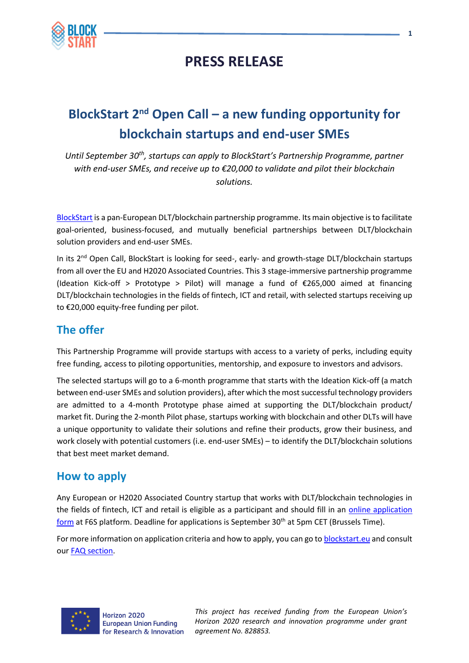

## **PRESS RELEASE**

# **BlockStart 2nd Open Call – a new funding opportunity for blockchain startups and end-user SMEs**

*Until September 30th, startups can apply to BlockStart's Partnership Programme, partner with end-user SMEs, and receive up to €20,000 to validate and pilot their blockchain solutions.*

[BlockStart](https://www.blockstart.eu/) is a pan-European DLT/blockchain partnership programme. Its main objective is to facilitate goal-oriented, business-focused, and mutually beneficial partnerships between DLT/blockchain solution providers and end-user SMEs.

In its 2<sup>nd</sup> Open Call, BlockStart is looking for seed-, early- and growth-stage DLT/blockchain startups from all over the EU and H2020 Associated Countries. This 3 stage-immersive partnership programme (Ideation Kick-off > Prototype > Pilot) will manage a fund of  $\epsilon$ 265,000 aimed at financing DLT/blockchain technologies in the fields of fintech, ICT and retail, with selected startups receiving up to €20,000 equity-free funding per pilot.

### **The offer**

This Partnership Programme will provide startups with access to a variety of perks, including equity free funding, access to piloting opportunities, mentorship, and exposure to investors and advisors.

The selected startups will go to a 6-month programme that starts with the Ideation Kick-off (a match between end-user SMEs and solution providers), after which the most successful technology providers are admitted to a 4-month Prototype phase aimed at supporting the DLT/blockchain product/ market fit. During the 2-month Pilot phase, startups working with blockchain and other DLTs will have a unique opportunity to validate their solutions and refine their products, grow their business, and work closely with potential customers (i.e. end-user SMEs) – to identify the DLT/blockchain solutions that best meet market demand.

#### **How to apply**

Any European or H2020 Associated Country startup that works with DLT/blockchain technologies in the fields of fintech, ICT and retail is eligible as a participant and should fill in an [online application](https://www.f6s.com/blockstartopencall2/apply)  [form](https://www.f6s.com/blockstartopencall2/apply) at F6S platform. Deadline for applications is September 30<sup>th</sup> at 5pm CET (Brussels Time).

For more information on application criteria and how to apply, you can go to blockstart, eu and consult our [FAQ section.](https://www.blockstart.eu/open-calls/faq/)



*This project has received funding from the European Union's Horizon 2020 research and innovation programme under grant agreement No. 828853.*